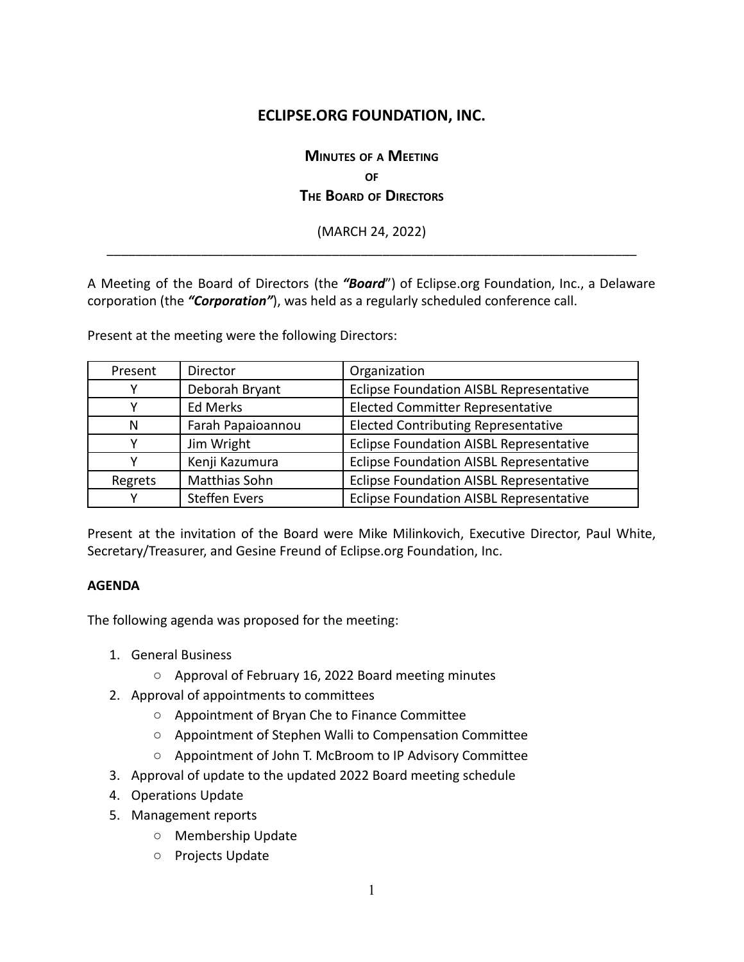# **ECLIPSE.ORG FOUNDATION, INC.**

# **MINUTES OF <sup>A</sup> MEETING OF THE BOARD OF DIRECTORS**

(MARCH 24, 2022) \_\_\_\_\_\_\_\_\_\_\_\_\_\_\_\_\_\_\_\_\_\_\_\_\_\_\_\_\_\_\_\_\_\_\_\_\_\_\_\_\_\_\_\_\_\_\_\_\_\_\_\_\_\_\_\_\_\_\_\_\_\_\_\_\_\_\_\_\_\_\_\_\_

A Meeting of the Board of Directors (the *"Board*") of Eclipse.org Foundation, Inc., a Delaware corporation (the *"Corporation"*), was held as a regularly scheduled conference call.

Present at the meeting were the following Directors:

| Present | Director             | Organization                                   |
|---------|----------------------|------------------------------------------------|
|         | Deborah Bryant       | Eclipse Foundation AISBL Representative        |
|         | Ed Merks             | <b>Elected Committer Representative</b>        |
| N       | Farah Papaioannou    | <b>Elected Contributing Representative</b>     |
|         | Jim Wright           | <b>Eclipse Foundation AISBL Representative</b> |
|         | Kenji Kazumura       | <b>Eclipse Foundation AISBL Representative</b> |
| Regrets | Matthias Sohn        | Eclipse Foundation AISBL Representative        |
|         | <b>Steffen Evers</b> | <b>Eclipse Foundation AISBL Representative</b> |

Present at the invitation of the Board were Mike Milinkovich, Executive Director, Paul White, Secretary/Treasurer, and Gesine Freund of Eclipse.org Foundation, Inc.

#### **AGENDA**

The following agenda was proposed for the meeting:

- 1. General Business
	- Approval of February 16, 2022 Board meeting minutes
- 2. Approval of appointments to committees
	- Appointment of Bryan Che to Finance Committee
	- Appointment of Stephen Walli to Compensation Committee
	- Appointment of John T. McBroom to IP Advisory Committee
- 3. Approval of update to the updated 2022 Board meeting schedule
- 4. Operations Update
- 5. Management reports
	- Membership Update
	- Projects Update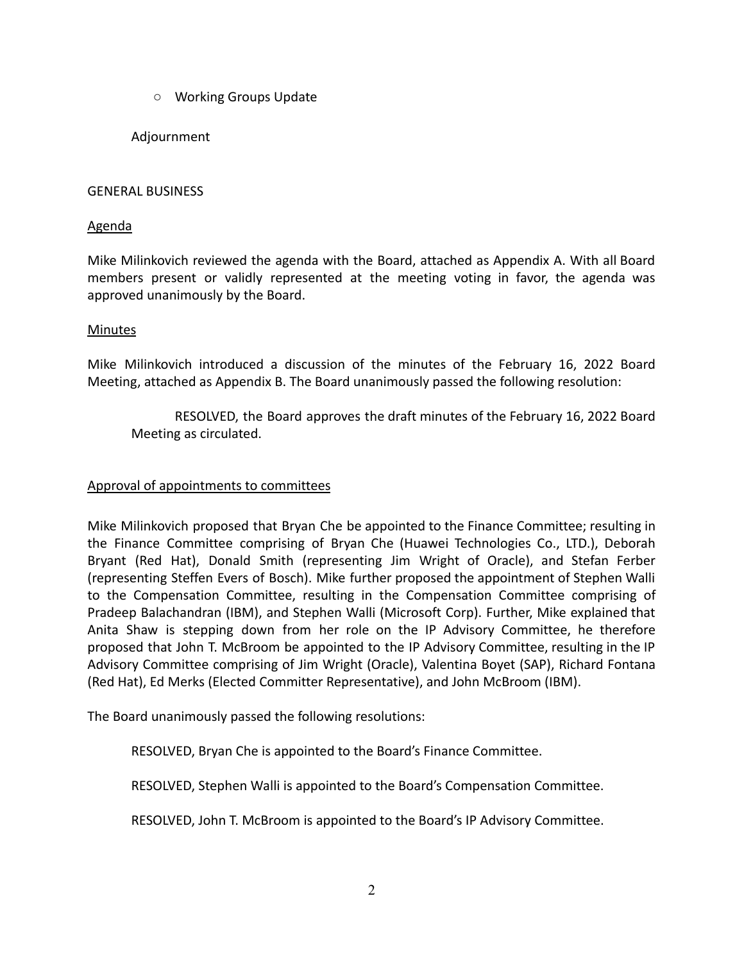○ Working Groups Update

# Adjournment

## GENERAL BUSINESS

# Agenda

Mike Milinkovich reviewed the agenda with the Board, attached as Appendix A. With all Board members present or validly represented at the meeting voting in favor, the agenda was approved unanimously by the Board.

# Minutes

Mike Milinkovich introduced a discussion of the minutes of the February 16, 2022 Board Meeting, attached as Appendix B. The Board unanimously passed the following resolution:

RESOLVED, the Board approves the draft minutes of the February 16, 2022 Board Meeting as circulated.

# Approval of appointments to committees

Mike Milinkovich proposed that Bryan Che be appointed to the Finance Committee; resulting in the Finance Committee comprising of Bryan Che (Huawei Technologies Co., LTD.), Deborah Bryant (Red Hat), Donald Smith (representing Jim Wright of Oracle), and Stefan Ferber (representing Steffen Evers of Bosch). Mike further proposed the appointment of Stephen Walli to the Compensation Committee, resulting in the Compensation Committee comprising of Pradeep Balachandran (IBM), and Stephen Walli (Microsoft Corp). Further, Mike explained that Anita Shaw is stepping down from her role on the IP Advisory Committee, he therefore proposed that John T. McBroom be appointed to the IP Advisory Committee, resulting in the IP Advisory Committee comprising of Jim Wright (Oracle), Valentina Boyet (SAP), Richard Fontana (Red Hat), Ed Merks (Elected Committer Representative), and John McBroom (IBM).

The Board unanimously passed the following resolutions:

RESOLVED, Bryan Che is appointed to the Board's Finance Committee.

RESOLVED, Stephen Walli is appointed to the Board's Compensation Committee.

RESOLVED, John T. McBroom is appointed to the Board's IP Advisory Committee.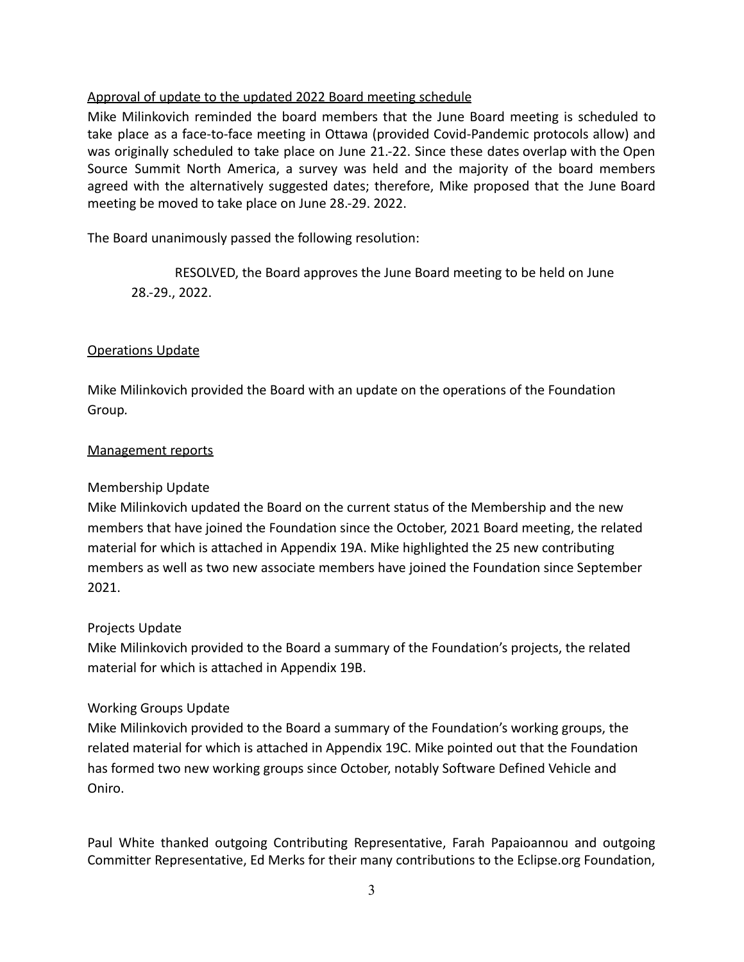# Approval of update to the updated 2022 Board meeting schedule

Mike Milinkovich reminded the board members that the June Board meeting is scheduled to take place as a face-to-face meeting in Ottawa (provided Covid-Pandemic protocols allow) and was originally scheduled to take place on June 21.-22. Since these dates overlap with the Open Source Summit North America, a survey was held and the majority of the board members agreed with the alternatively suggested dates; therefore, Mike proposed that the June Board meeting be moved to take place on June 28.-29. 2022.

The Board unanimously passed the following resolution:

RESOLVED, the Board approves the June Board meeting to be held on June 28.-29., 2022.

## Operations Update

Mike Milinkovich provided the Board with an update on the operations of the Foundation Group*.*

## Management reports

## Membership Update

Mike Milinkovich updated the Board on the current status of the Membership and the new members that have joined the Foundation since the October, 2021 Board meeting, the related material for which is attached in Appendix 19A. Mike highlighted the 25 new contributing members as well as two new associate members have joined the Foundation since September 2021.

## Projects Update

Mike Milinkovich provided to the Board a summary of the Foundation's projects, the related material for which is attached in Appendix 19B.

## Working Groups Update

Mike Milinkovich provided to the Board a summary of the Foundation's working groups, the related material for which is attached in Appendix 19C. Mike pointed out that the Foundation has formed two new working groups since October, notably Software Defined Vehicle and Oniro.

Paul White thanked outgoing Contributing Representative, Farah Papaioannou and outgoing Committer Representative, Ed Merks for their many contributions to the Eclipse.org Foundation,